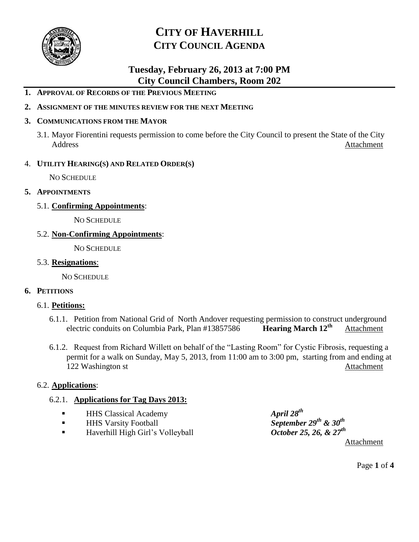

### **Tuesday, February 26, 2013 at 7:00 PM City Council Chambers, Room 202**

- **1. APPROVAL OF RECORDS OF THE PREVIOUS MEETING**
- **2. ASSIGNMENT OF THE MINUTES REVIEW FOR THE NEXT MEETING**

#### **3. COMMUNICATIONS FROM THE MAYOR**

3.1. Mayor Fiorentini requests permission to come before the City Council to present the State of the City Address Attachment

#### 4. **UTILITY HEARING(S) AND RELATED ORDER(S)**

NO SCHEDULE

- **5. APPOINTMENTS**
	- 5.1. **Confirming Appointments**:

NO SCHEDULE

#### 5.2. **Non-Confirming Appointments**:

NO SCHEDULE

#### 5.3. **Resignations**:

NO SCHEDULE

#### **6. PETITIONS**

#### 6.1. **Petitions:**

- 6.1.1. Petition from National Grid of North Andover requesting permission to construct underground electric conduits on Columbia Park, Plan #13857586 **Hearing March 12<sup>th</sup>** Attachment electric conduits on Columbia Park, Plan #13857586 **Hearing March 12th** Attachment
- 6.1.2. Request from Richard Willett on behalf of the "Lasting Room" for Cystic Fibrosis, requesting a permit for a walk on Sunday, May 5, 2013, from 11:00 am to 3:00 pm, starting from and ending at 122 Washington st Attachment

#### 6.2. **Applications**:

#### 6.2.1. **Applications for Tag Days 2013:**

- **APRILE HHS Classical Academy**
- HHS Varsity Football *September 29<sup>th</sup> & 30<sup>th</sup>*
- Haverhill High Girl's Volleyball *October 25, 26, & 27<sup>th</sup>*

 $Arril 28<sup>th</sup>$ Attachment

Page **1** of **4**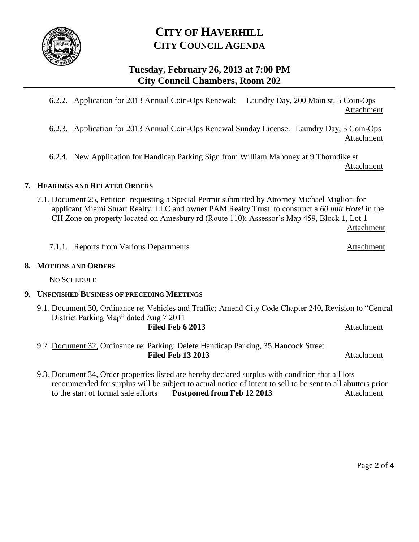

### **Tuesday, February 26, 2013 at 7:00 PM City Council Chambers, Room 202**

6.2.2. Application for 2013 Annual Coin-Ops Renewal: Laundry Day, 200 Main st, 5 Coin-Ops Attachment

6.2.3. Application for 2013 Annual Coin-Ops Renewal Sunday License: Laundry Day, 5 Coin-Ops Attachment

6.2.4. New Application for Handicap Parking Sign from William Mahoney at 9 Thorndike st Attachment

#### **7. HEARINGS AND RELATED ORDERS**

7.1. Document 25, Petition requesting a Special Permit submitted by Attorney Michael Migliori for applicant Miami Stuart Realty, LLC and owner PAM Realty Trust to construct a *60 unit Hotel* in the CH Zone on property located on Amesbury rd (Route 110); Assessor's Map 459, Block 1, Lot 1

Attachment

7.1.1. Reports from Various Departments **Attachment** 

#### **8. MOTIONS AND ORDERS**

NO SCHEDULE

#### **9. UNFINISHED BUSINESS OF PRECEDING MEETINGS**

- 9.1. Document 30, Ordinance re: Vehicles and Traffic; Amend City Code Chapter 240, Revision to "Central District Parking Map" dated Aug 7 2011 **Filed Feb 6 2013** Attachment
- 9.2. Document 32, Ordinance re: Parking; Delete Handicap Parking, 35 Hancock Street Filed Feb 13 2013 Attachment
- 9.3. Document 34, Order properties listed are hereby declared surplus with condition that all lots recommended for surplus will be subject to actual notice of intent to sell to be sent to all abutters prior to the start of formal sale efforts **Postponed from Feb 12 2013** Attachment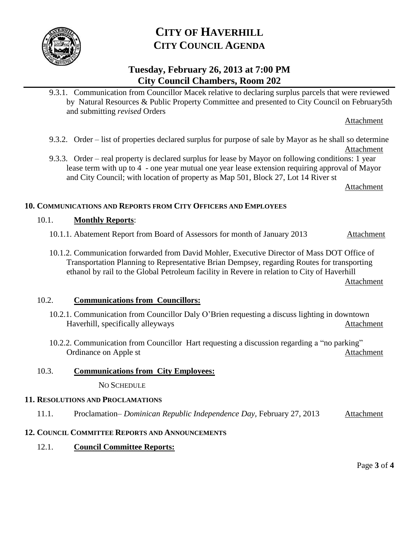

### **Tuesday, February 26, 2013 at 7:00 PM City Council Chambers, Room 202**

9.3.1. Communication from Councillor Macek relative to declaring surplus parcels that were reviewed by Natural Resources & Public Property Committee and presented to City Council on February5th and submitting *revised* Orders

Attachment

- 9.3.2. Order list of properties declared surplus for purpose of sale by Mayor as he shall so determine Attachment
- 9.3.3. Order real property is declared surplus for lease by Mayor on following conditions: 1 year lease term with up to 4 - one year mutual one year lease extension requiring approval of Mayor and City Council; with location of property as Map 501, Block 27, Lot 14 River st

Attachment

#### **10. COMMUNICATIONS AND REPORTS FROM CITY OFFICERS AND EMPLOYEES**

#### 10.1. **Monthly Reports**:

- 10.1.1. Abatement Report from Board of Assessors for month of January 2013 Attachment
- 10.1.2. Communication forwarded from David Mohler, Executive Director of Mass DOT Office of Transportation Planning to Representative Brian Dempsey, regarding Routes for transporting ethanol by rail to the Global Petroleum facility in Revere in relation to City of Haverhill

Attachment

#### 10.2. **Communications from Councillors:**

- 10.2.1. Communication from Councillor Daly O'Brien requesting a discuss lighting in downtown Haverhill, specifically alleyways Attachment
- 10.2.2. Communication from Councillor Hart requesting a discussion regarding a "no parking" Ordinance on Apple st **Attachment** Attachment

#### 10.3. **Communications from City Employees:**

NO SCHEDULE

#### **11. RESOLUTIONS AND PROCLAMATIONS**

11.1. Proclamation– *Dominican Republic Independence Day*, February 27, 2013 Attachment

#### **12. COUNCIL COMMITTEE REPORTS AND ANNOUNCEMENTS**

12.1. **Council Committee Reports:**

Page **3** of **4**